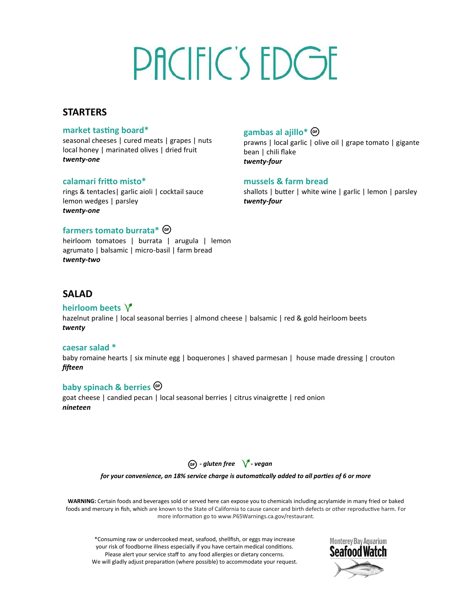# PACIFIC'S EDGE

## **STARTERS**

### **market tasting board\***

seasonal cheeses | cured meats | grapes | nuts local honey | marinated olives | dried fruit *twenty-one*

### **calamari fritto misto\***

rings & tentacles| garlic aioli | cocktail sauce lemon wedges | parsley *twenty-one*

## **farmers tomato burrata\***

heirloom tomatoes | burrata | arugula | lemon agrumato | balsamic | micro-basil | farm bread *twenty-two*

## **gambas al ajillo\***

prawns | local garlic | olive oil | grape tomato | gigante bean | chili flake *twenty-four*

### **mussels & farm bread**

shallots | butter | white wine | garlic | lemon | parsley *twenty-four*

## **SALAD**

### **heirloom beets**

hazelnut praline | local seasonal berries | almond cheese | balsamic | red & gold heirloom beets *twenty*

#### **caesar salad \***

baby romaine hearts | six minute egg | boquerones | shaved parmesan | house made dressing | crouton *fifteen*

### **baby spinach & berries**

goat cheese | candied pecan | local seasonal berries | citrus vinaigrette | red onion *nineteen*



*for your convenience, an 18% service charge is automatically added to all parties of 6 or more*

**WARNING:** Certain foods and beverages sold or served here can expose you to chemicals including acrylamide in many fried or baked foods and mercury in fish, which are known to the State of California to cause cancer and birth defects or other reproductive harm. For more information go to www.P65Warnings.ca.gov/restaurant.

\*Consuming raw or undercooked meat, seafood, shellfish, or eggs may increase your risk of foodborne illness especially if you have certain medical conditions. Please alert your service staff to any food allergies or dietary concerns. We will gladly adjust preparation (where possible) to accommodate your request.